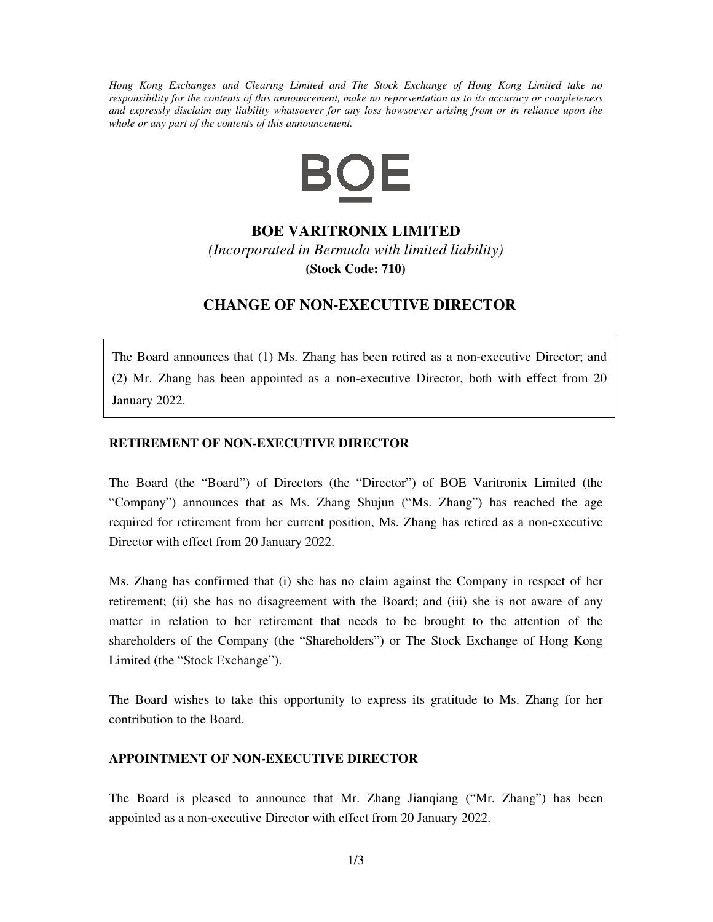*Hong Kong Exchanges and Clearing Limited and The Stock Exchange of Hong Kong Limited take no responsibility for the contents of this announcement, make no representation as to its accuracy or completeness and expressly disclaim any liability whatsoever for any loss howsoever arising from or in reliance upon the whole or any part of the contents of this announcement.* 



## **BOE VARITRONIX LIMITED**

*(Incorporated in Bermuda with limited liability)*  **(Stock Code: 710)**

## **CHANGE OF NON-EXECUTIVE DIRECTOR**

The Board announces that (1) Ms. Zhang has been retired as a non-executive Director; and (2) Mr. Zhang has been appointed as a non-executive Director, both with effect from 20 January 2022.

## **RETIREMENT OF NON-EXECUTIVE DIRECTOR**

The Board (the "Board") of Directors (the "Director") of BOE Varitronix Limited (the "Company") announces that as Ms. Zhang Shujun ("Ms. Zhang") has reached the age required for retirement from her current position, Ms. Zhang has retired as a non-executive Director with effect from 20 January 2022.

Ms. Zhang has confirmed that (i) she has no claim against the Company in respect of her retirement; (ii) she has no disagreement with the Board; and (iii) she is not aware of any matter in relation to her retirement that needs to be brought to the attention of the shareholders of the Company (the "Shareholders") or The Stock Exchange of Hong Kong Limited (the "Stock Exchange").

The Board wishes to take this opportunity to express its gratitude to Ms. Zhang for her contribution to the Board.

## **APPOINTMENT OF NON-EXECUTIVE DIRECTOR**

The Board is pleased to announce that Mr. Zhang Jianqiang ("Mr. Zhang") has been appointed as a non-executive Director with effect from 20 January 2022.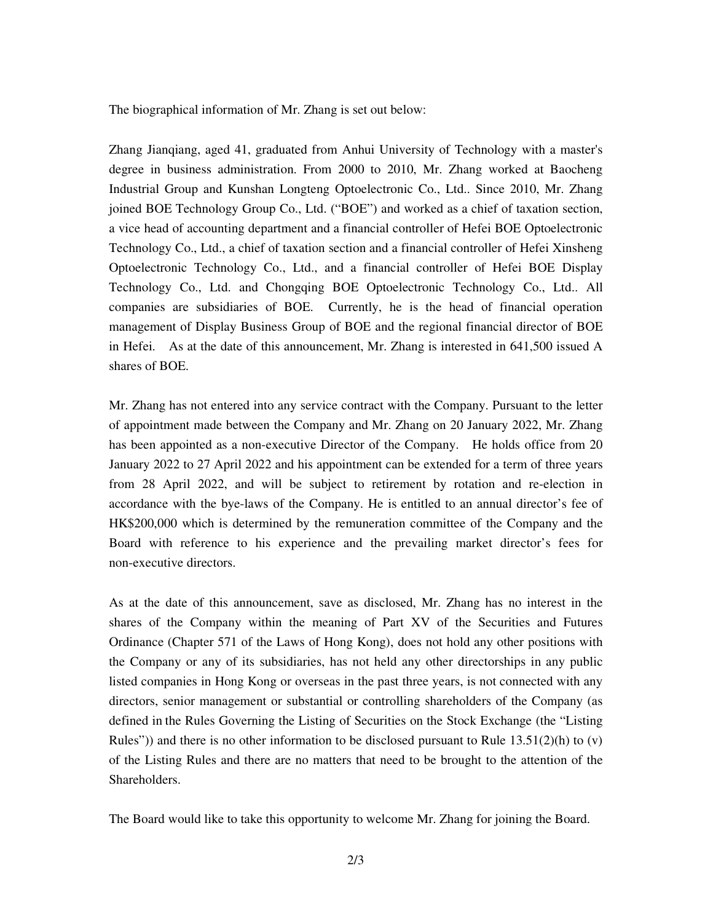The biographical information of Mr. Zhang is set out below:

Zhang Jianqiang, aged 41, graduated from Anhui University of Technology with a master's degree in business administration. From 2000 to 2010, Mr. Zhang worked at Baocheng Industrial Group and Kunshan Longteng Optoelectronic Co., Ltd.. Since 2010, Mr. Zhang joined BOE Technology Group Co., Ltd. ("BOE") and worked as a chief of taxation section, a vice head of accounting department and a financial controller of Hefei BOE Optoelectronic Technology Co., Ltd., a chief of taxation section and a financial controller of Hefei Xinsheng Optoelectronic Technology Co., Ltd., and a financial controller of Hefei BOE Display Technology Co., Ltd. and Chongqing BOE Optoelectronic Technology Co., Ltd.. All companies are subsidiaries of BOE. Currently, he is the head of financial operation management of Display Business Group of BOE and the regional financial director of BOE in Hefei. As at the date of this announcement, Mr. Zhang is interested in 641,500 issued A shares of BOE.

Mr. Zhang has not entered into any service contract with the Company. Pursuant to the letter of appointment made between the Company and Mr. Zhang on 20 January 2022, Mr. Zhang has been appointed as a non-executive Director of the Company. He holds office from 20 January 2022 to 27 April 2022 and his appointment can be extended for a term of three years from 28 April 2022, and will be subject to retirement by rotation and re-election in accordance with the bye-laws of the Company. He is entitled to an annual director's fee of HK\$200,000 which is determined by the remuneration committee of the Company and the Board with reference to his experience and the prevailing market director's fees for non-executive directors.

As at the date of this announcement, save as disclosed, Mr. Zhang has no interest in the shares of the Company within the meaning of Part XV of the Securities and Futures Ordinance (Chapter 571 of the Laws of Hong Kong), does not hold any other positions with the Company or any of its subsidiaries, has not held any other directorships in any public listed companies in Hong Kong or overseas in the past three years, is not connected with any directors, senior management or substantial or controlling shareholders of the Company (as defined in the Rules Governing the Listing of Securities on the Stock Exchange (the "Listing Rules")) and there is no other information to be disclosed pursuant to Rule  $13.51(2)(h)$  to (v) of the Listing Rules and there are no matters that need to be brought to the attention of the Shareholders.

The Board would like to take this opportunity to welcome Mr. Zhang for joining the Board.